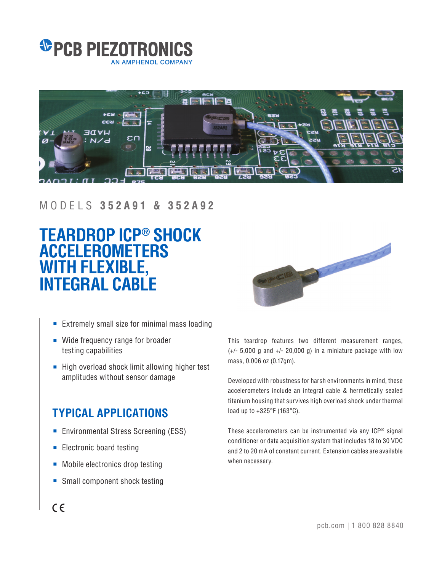



#### MODELS **352A91 & 352A92**

# **TEARDROP ICP® SHOCK ACCELEROMETERS WITH FLEXIBLE, INTEGRAL CABLE**



- Extremely small size for minimal mass loading
- Wide frequency range for broader testing capabilities
- High overload shock limit allowing higher test amplitudes without sensor damage

### **TYPICAL APPLICATIONS**

- Environmental Stress Screening (ESS)
- Electronic board testing
- Mobile electronics drop testing
- Small component shock testing

This teardrop features two different measurement ranges,  $(+/- 5,000$  g and  $+/- 20,000$  g) in a miniature package with low mass, 0.006 oz (0.17gm).

Developed with robustness for harsh environments in mind, these accelerometers include an integral cable & hermetically sealed titanium housing that survives high overload shock under thermal load up to +325°F (163°C).

These accelerometers can be instrumented via any ICP® signal conditioner or data acquisition system that includes 18 to 30 VDC and 2 to 20 mA of constant current. Extension cables are available when necessary.

## $\epsilon$